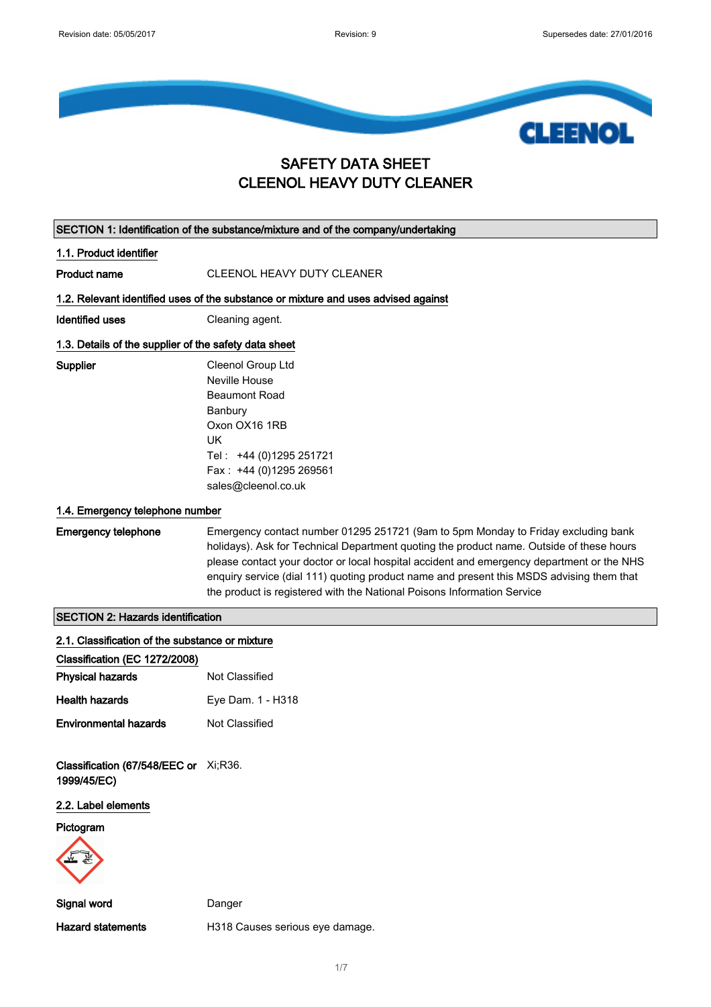

### SAFETY DATA SHEET CLEENOL HEAVY DUTY CLEANER

|                                                       | SECTION 1: Identification of the substance/mixture and of the company/undertaking                                                                                                                                                                                                                                                                                                                                                                 |  |  |
|-------------------------------------------------------|---------------------------------------------------------------------------------------------------------------------------------------------------------------------------------------------------------------------------------------------------------------------------------------------------------------------------------------------------------------------------------------------------------------------------------------------------|--|--|
| 1.1. Product identifier                               |                                                                                                                                                                                                                                                                                                                                                                                                                                                   |  |  |
| <b>Product name</b>                                   | <b>CLEENOL HEAVY DUTY CLEANER</b>                                                                                                                                                                                                                                                                                                                                                                                                                 |  |  |
|                                                       | 1.2. Relevant identified uses of the substance or mixture and uses advised against                                                                                                                                                                                                                                                                                                                                                                |  |  |
| <b>Identified uses</b>                                | Cleaning agent.                                                                                                                                                                                                                                                                                                                                                                                                                                   |  |  |
| 1.3. Details of the supplier of the safety data sheet |                                                                                                                                                                                                                                                                                                                                                                                                                                                   |  |  |
| Supplier                                              | Cleenol Group Ltd<br>Neville House<br><b>Beaumont Road</b><br>Banbury<br>Oxon OX16 1RB<br>UK<br>Tel: +44 (0)1295 251721<br>Fax: +44 (0)1295 269561<br>sales@cleenol.co.uk                                                                                                                                                                                                                                                                         |  |  |
| 1.4. Emergency telephone number                       |                                                                                                                                                                                                                                                                                                                                                                                                                                                   |  |  |
| <b>Emergency telephone</b>                            | Emergency contact number 01295 251721 (9am to 5pm Monday to Friday excluding bank<br>holidays). Ask for Technical Department quoting the product name. Outside of these hours<br>please contact your doctor or local hospital accident and emergency department or the NHS<br>enquiry service (dial 111) quoting product name and present this MSDS advising them that<br>the product is registered with the National Poisons Information Service |  |  |
| <b>SECTION 2: Hazards identification</b>              |                                                                                                                                                                                                                                                                                                                                                                                                                                                   |  |  |
| 2.1. Classification of the substance or mixture       |                                                                                                                                                                                                                                                                                                                                                                                                                                                   |  |  |
| Classification (EC 1272/2008)                         |                                                                                                                                                                                                                                                                                                                                                                                                                                                   |  |  |
| <b>Physical hazards</b>                               | Not Classified                                                                                                                                                                                                                                                                                                                                                                                                                                    |  |  |
| <b>Health hazards</b>                                 | Eye Dam. 1 - H318                                                                                                                                                                                                                                                                                                                                                                                                                                 |  |  |
| <b>Environmental hazards</b>                          | Not Classified                                                                                                                                                                                                                                                                                                                                                                                                                                    |  |  |
| Classification (67/548/EEC or Xi;R36.<br>1999/45/EC)  |                                                                                                                                                                                                                                                                                                                                                                                                                                                   |  |  |
| 2.2. Label elements                                   |                                                                                                                                                                                                                                                                                                                                                                                                                                                   |  |  |
| Pictogram                                             |                                                                                                                                                                                                                                                                                                                                                                                                                                                   |  |  |
| Signal word                                           | Danger                                                                                                                                                                                                                                                                                                                                                                                                                                            |  |  |
| <b>Hazard statements</b>                              | H318 Causes serious eye damage.                                                                                                                                                                                                                                                                                                                                                                                                                   |  |  |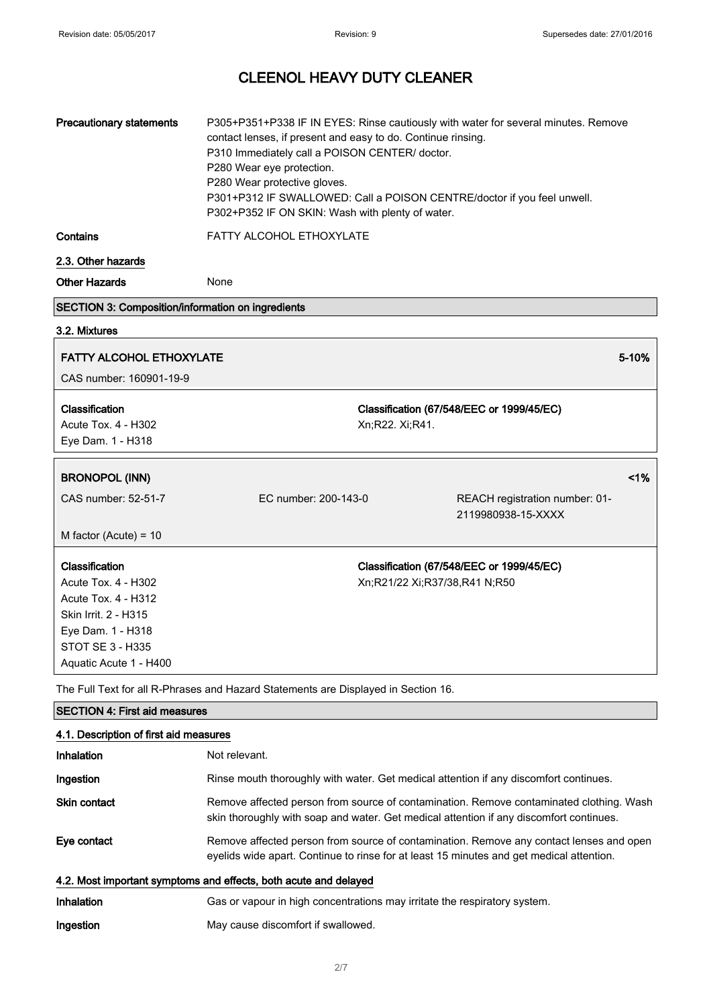| <b>Precautionary statements</b><br>Contains                                                                                                             | P305+P351+P338 IF IN EYES: Rinse cautiously with water for several minutes. Remove<br>contact lenses, if present and easy to do. Continue rinsing.<br>P310 Immediately call a POISON CENTER/ doctor.<br>P280 Wear eye protection.<br>P280 Wear protective gloves.<br>P301+P312 IF SWALLOWED: Call a POISON CENTRE/doctor if you feel unwell.<br>P302+P352 IF ON SKIN: Wash with plenty of water.<br>FATTY ALCOHOL ETHOXYLATE |                               |                                                      |       |
|---------------------------------------------------------------------------------------------------------------------------------------------------------|------------------------------------------------------------------------------------------------------------------------------------------------------------------------------------------------------------------------------------------------------------------------------------------------------------------------------------------------------------------------------------------------------------------------------|-------------------------------|------------------------------------------------------|-------|
| 2.3. Other hazards                                                                                                                                      |                                                                                                                                                                                                                                                                                                                                                                                                                              |                               |                                                      |       |
| <b>Other Hazards</b>                                                                                                                                    | None                                                                                                                                                                                                                                                                                                                                                                                                                         |                               |                                                      |       |
| SECTION 3: Composition/information on ingredients                                                                                                       |                                                                                                                                                                                                                                                                                                                                                                                                                              |                               |                                                      |       |
| 3.2. Mixtures                                                                                                                                           |                                                                                                                                                                                                                                                                                                                                                                                                                              |                               |                                                      |       |
| <b>FATTY ALCOHOL ETHOXYLATE</b>                                                                                                                         |                                                                                                                                                                                                                                                                                                                                                                                                                              |                               |                                                      | 5-10% |
| CAS number: 160901-19-9                                                                                                                                 |                                                                                                                                                                                                                                                                                                                                                                                                                              |                               |                                                      |       |
| Classification<br>Acute Tox. 4 - H302<br>Eye Dam. 1 - H318                                                                                              |                                                                                                                                                                                                                                                                                                                                                                                                                              | Xn;R22. Xi;R41.               | Classification (67/548/EEC or 1999/45/EC)            |       |
| <b>BRONOPOL (INN)</b>                                                                                                                                   |                                                                                                                                                                                                                                                                                                                                                                                                                              |                               |                                                      | 1%    |
| CAS number: 52-51-7                                                                                                                                     | EC number: 200-143-0                                                                                                                                                                                                                                                                                                                                                                                                         |                               | REACH registration number: 01-<br>2119980938-15-XXXX |       |
| M factor (Acute) = $10$                                                                                                                                 |                                                                                                                                                                                                                                                                                                                                                                                                                              |                               |                                                      |       |
| Classification<br>Acute Tox. 4 - H302<br>Acute Tox. 4 - H312<br>Skin Irrit. 2 - H315<br>Eye Dam. 1 - H318<br>STOT SE 3 - H335<br>Aquatic Acute 1 - H400 |                                                                                                                                                                                                                                                                                                                                                                                                                              | Xn;R21/22 Xi;R37/38,R41 N;R50 | Classification (67/548/EEC or 1999/45/EC)            |       |
|                                                                                                                                                         | The Full Text for all R-Phrases and Hazard Statements are Displayed in Section 16.                                                                                                                                                                                                                                                                                                                                           |                               |                                                      |       |
| <b>SECTION 4: First aid measures</b>                                                                                                                    |                                                                                                                                                                                                                                                                                                                                                                                                                              |                               |                                                      |       |
| 4.1. Description of first aid measures                                                                                                                  |                                                                                                                                                                                                                                                                                                                                                                                                                              |                               |                                                      |       |
| Inhalation                                                                                                                                              | Not relevant.                                                                                                                                                                                                                                                                                                                                                                                                                |                               |                                                      |       |
| Ingestion                                                                                                                                               | Rinse mouth thoroughly with water. Get medical attention if any discomfort continues.                                                                                                                                                                                                                                                                                                                                        |                               |                                                      |       |

| Skin contact | Remove affected person from source of contamination. Remove contaminated clothing. Wash |
|--------------|-----------------------------------------------------------------------------------------|
|              | skin thoroughly with soap and water. Get medical attention if any discomfort continues. |

Eye contact Remove affected person from source of contamination. Remove any contact lenses and open eyelids wide apart. Continue to rinse for at least 15 minutes and get medical attention.

#### 4.2. Most important symptoms and effects, both acute and delayed

| <b>Inhalation</b> | Gas or vapour in high concentrations may irritate the respiratory system. |
|-------------------|---------------------------------------------------------------------------|
| Ingestion         | May cause discomfort if swallowed.                                        |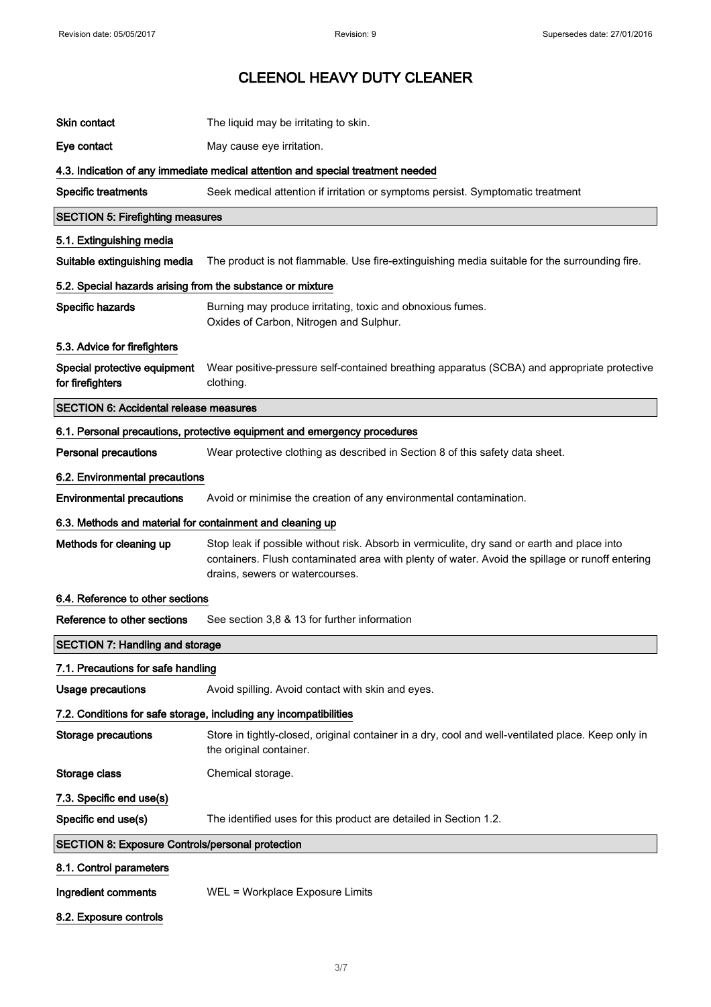| Skin contact                                               | The liquid may be irritating to skin.                                                                                                                                                                                             |
|------------------------------------------------------------|-----------------------------------------------------------------------------------------------------------------------------------------------------------------------------------------------------------------------------------|
| Eye contact                                                | May cause eye irritation.                                                                                                                                                                                                         |
|                                                            | 4.3. Indication of any immediate medical attention and special treatment needed                                                                                                                                                   |
| <b>Specific treatments</b>                                 | Seek medical attention if irritation or symptoms persist. Symptomatic treatment                                                                                                                                                   |
| <b>SECTION 5: Firefighting measures</b>                    |                                                                                                                                                                                                                                   |
| 5.1. Extinguishing media                                   |                                                                                                                                                                                                                                   |
| Suitable extinguishing media                               | The product is not flammable. Use fire-extinguishing media suitable for the surrounding fire.                                                                                                                                     |
| 5.2. Special hazards arising from the substance or mixture |                                                                                                                                                                                                                                   |
| Specific hazards                                           | Burning may produce irritating, toxic and obnoxious fumes.<br>Oxides of Carbon, Nitrogen and Sulphur.                                                                                                                             |
| 5.3. Advice for firefighters                               |                                                                                                                                                                                                                                   |
| Special protective equipment<br>for firefighters           | Wear positive-pressure self-contained breathing apparatus (SCBA) and appropriate protective<br>clothing.                                                                                                                          |
| <b>SECTION 6: Accidental release measures</b>              |                                                                                                                                                                                                                                   |
|                                                            | 6.1. Personal precautions, protective equipment and emergency procedures                                                                                                                                                          |
| <b>Personal precautions</b>                                | Wear protective clothing as described in Section 8 of this safety data sheet.                                                                                                                                                     |
| 6.2. Environmental precautions                             |                                                                                                                                                                                                                                   |
| <b>Environmental precautions</b>                           | Avoid or minimise the creation of any environmental contamination.                                                                                                                                                                |
| 6.3. Methods and material for containment and cleaning up  |                                                                                                                                                                                                                                   |
| Methods for cleaning up                                    | Stop leak if possible without risk. Absorb in vermiculite, dry sand or earth and place into<br>containers. Flush contaminated area with plenty of water. Avoid the spillage or runoff entering<br>drains, sewers or watercourses. |
| 6.4. Reference to other sections                           |                                                                                                                                                                                                                                   |
| Reference to other sections                                | See section 3,8 & 13 for further information                                                                                                                                                                                      |
| <b>SECTION 7: Handling and storage</b>                     |                                                                                                                                                                                                                                   |
| 7.1. Precautions for safe handling                         |                                                                                                                                                                                                                                   |
| <b>Usage precautions</b>                                   | Avoid spilling. Avoid contact with skin and eyes.                                                                                                                                                                                 |
|                                                            | 7.2. Conditions for safe storage, including any incompatibilities                                                                                                                                                                 |
| <b>Storage precautions</b>                                 | Store in tightly-closed, original container in a dry, cool and well-ventilated place. Keep only in<br>the original container.                                                                                                     |
| Storage class                                              | Chemical storage.                                                                                                                                                                                                                 |
| 7.3. Specific end use(s)                                   |                                                                                                                                                                                                                                   |
| Specific end use(s)                                        | The identified uses for this product are detailed in Section 1.2.                                                                                                                                                                 |
| <b>SECTION 8: Exposure Controls/personal protection</b>    |                                                                                                                                                                                                                                   |
| 8.1. Control parameters                                    |                                                                                                                                                                                                                                   |
| Ingredient comments                                        | WEL = Workplace Exposure Limits                                                                                                                                                                                                   |
| 8.2. Exposure controls                                     |                                                                                                                                                                                                                                   |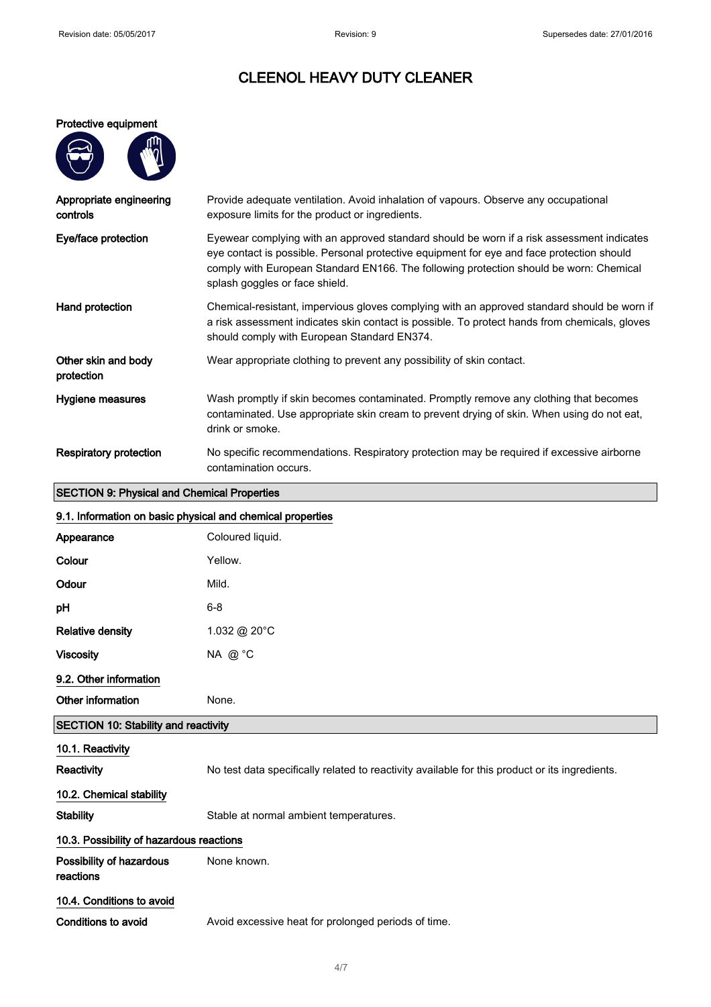#### Protective equipment

| ſ<br>Ш<br>ı |
|-------------|
| . .         |
|             |
|             |

| Appropriate engineering<br>controls | Provide adequate ventilation. Avoid inhalation of vapours. Observe any occupational<br>exposure limits for the product or ingredients.                                                                                                                                                                             |
|-------------------------------------|--------------------------------------------------------------------------------------------------------------------------------------------------------------------------------------------------------------------------------------------------------------------------------------------------------------------|
| Eye/face protection                 | Eyewear complying with an approved standard should be worn if a risk assessment indicates<br>eye contact is possible. Personal protective equipment for eye and face protection should<br>comply with European Standard EN166. The following protection should be worn: Chemical<br>splash goggles or face shield. |
| Hand protection                     | Chemical-resistant, impervious gloves complying with an approved standard should be worn if<br>a risk assessment indicates skin contact is possible. To protect hands from chemicals, gloves<br>should comply with European Standard EN374.                                                                        |
| Other skin and body<br>protection   | Wear appropriate clothing to prevent any possibility of skin contact.                                                                                                                                                                                                                                              |
| Hygiene measures                    | Wash promptly if skin becomes contaminated. Promptly remove any clothing that becomes<br>contaminated. Use appropriate skin cream to prevent drying of skin. When using do not eat,<br>drink or smoke.                                                                                                             |
| <b>Respiratory protection</b>       | No specific recommendations. Respiratory protection may be required if excessive airborne<br>contamination occurs.                                                                                                                                                                                                 |

### SECTION 9: Physical and Chemical Properties

|                                             | 9.1. Information on basic physical and chemical properties                                     |
|---------------------------------------------|------------------------------------------------------------------------------------------------|
| Appearance                                  | Coloured liquid.                                                                               |
| Colour                                      | Yellow.                                                                                        |
| Odour                                       | Mild.                                                                                          |
| pH                                          | $6 - 8$                                                                                        |
| <b>Relative density</b>                     | 1.032 @ 20°C                                                                                   |
| <b>Viscosity</b>                            | NA @ °C                                                                                        |
| 9.2. Other information                      |                                                                                                |
| Other information                           | None.                                                                                          |
| <b>SECTION 10: Stability and reactivity</b> |                                                                                                |
| 10.1. Reactivity                            |                                                                                                |
| Reactivity                                  | No test data specifically related to reactivity available for this product or its ingredients. |
| 10.2. Chemical stability                    |                                                                                                |
| <b>Stability</b>                            | Stable at normal ambient temperatures.                                                         |
| 10.3. Possibility of hazardous reactions    |                                                                                                |
| Possibility of hazardous<br>reactions       | None known.                                                                                    |
| 10.4. Conditions to avoid                   |                                                                                                |

Conditions to avoid **Avoid excessive heat for prolonged periods of time.**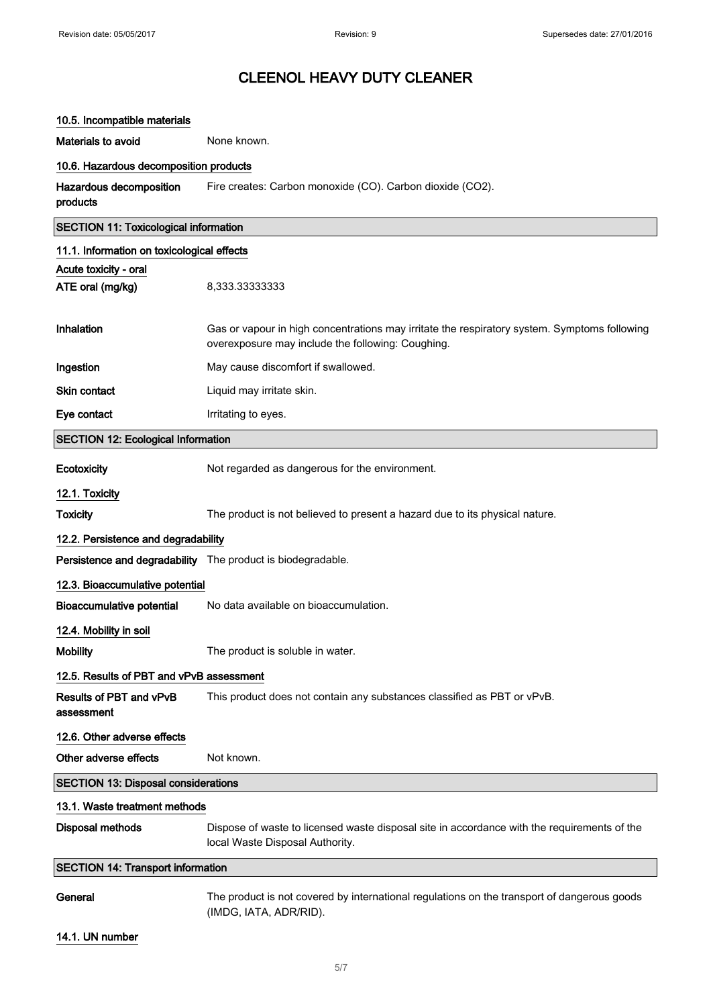| 10.5. Incompatible materials                 |                                                                                                                                                   |
|----------------------------------------------|---------------------------------------------------------------------------------------------------------------------------------------------------|
| Materials to avoid                           | None known.                                                                                                                                       |
| 10.6. Hazardous decomposition products       |                                                                                                                                                   |
| Hazardous decomposition<br>products          | Fire creates: Carbon monoxide (CO). Carbon dioxide (CO2).                                                                                         |
| <b>SECTION 11: Toxicological information</b> |                                                                                                                                                   |
| 11.1. Information on toxicological effects   |                                                                                                                                                   |
| Acute toxicity - oral                        |                                                                                                                                                   |
| ATE oral (mg/kg)                             | 8,333.33333333                                                                                                                                    |
|                                              |                                                                                                                                                   |
| Inhalation                                   | Gas or vapour in high concentrations may irritate the respiratory system. Symptoms following<br>overexposure may include the following: Coughing. |
| Ingestion                                    | May cause discomfort if swallowed.                                                                                                                |
| Skin contact                                 | Liquid may irritate skin.                                                                                                                         |
| Eye contact                                  | Irritating to eyes.                                                                                                                               |
| <b>SECTION 12: Ecological Information</b>    |                                                                                                                                                   |
| Ecotoxicity                                  | Not regarded as dangerous for the environment.                                                                                                    |
| 12.1. Toxicity                               |                                                                                                                                                   |
| <b>Toxicity</b>                              | The product is not believed to present a hazard due to its physical nature.                                                                       |
| 12.2. Persistence and degradability          |                                                                                                                                                   |
|                                              | Persistence and degradability The product is biodegradable.                                                                                       |
| 12.3. Bioaccumulative potential              |                                                                                                                                                   |
| <b>Bioaccumulative potential</b>             | No data available on bioaccumulation.                                                                                                             |
| 12.4. Mobility in soil                       |                                                                                                                                                   |
| <b>Mobility</b>                              | The product is soluble in water.                                                                                                                  |
| 12.5. Results of PBT and vPvB assessment     |                                                                                                                                                   |
| Results of PBT and vPvB<br>assessment        | This product does not contain any substances classified as PBT or vPvB.                                                                           |
| 12.6. Other adverse effects                  |                                                                                                                                                   |
| Other adverse effects                        | Not known.                                                                                                                                        |
| <b>SECTION 13: Disposal considerations</b>   |                                                                                                                                                   |
| 13.1. Waste treatment methods                |                                                                                                                                                   |
| <b>Disposal methods</b>                      | Dispose of waste to licensed waste disposal site in accordance with the requirements of the<br>local Waste Disposal Authority.                    |
| <b>SECTION 14: Transport information</b>     |                                                                                                                                                   |
| General                                      | The product is not covered by international regulations on the transport of dangerous goods<br>(IMDG, IATA, ADR/RID).                             |
| 14.1. UN number                              |                                                                                                                                                   |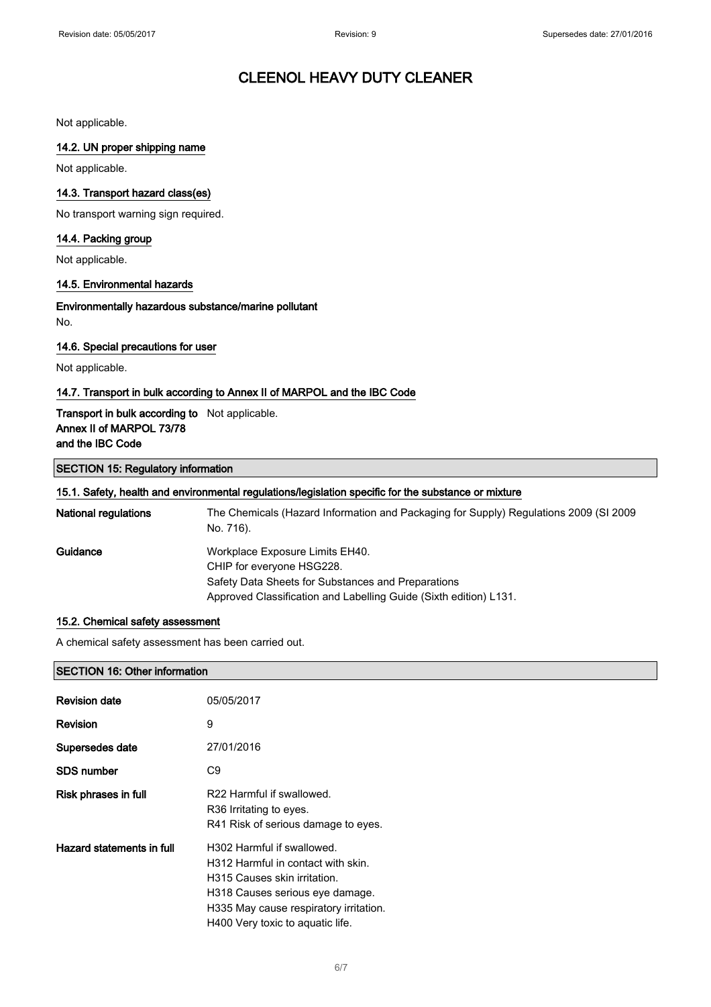Not applicable.

#### 14.2. UN proper shipping name

Not applicable.

#### 14.3. Transport hazard class(es)

No transport warning sign required.

#### 14.4. Packing group

Not applicable.

#### 14.5. Environmental hazards

Environmentally hazardous substance/marine pollutant No.

#### 14.6. Special precautions for user

Not applicable.

#### 14.7. Transport in bulk according to Annex II of MARPOL and the IBC Code

#### Transport in bulk according to Not applicable. Annex II of MARPOL 73/78 and the IBC Code

#### SECTION 15: Regulatory information

| 15.1. Safety, health and environmental regulations/legislation specific for the substance or mixture |                                                                                                                                                                                         |  |
|------------------------------------------------------------------------------------------------------|-----------------------------------------------------------------------------------------------------------------------------------------------------------------------------------------|--|
| <b>National regulations</b>                                                                          | The Chemicals (Hazard Information and Packaging for Supply) Regulations 2009 (SI 2009<br>No. 716).                                                                                      |  |
| Guidance                                                                                             | Workplace Exposure Limits EH40.<br>CHIP for everyone HSG228.<br>Safety Data Sheets for Substances and Preparations<br>Approved Classification and Labelling Guide (Sixth edition) L131. |  |

#### 15.2. Chemical safety assessment

A chemical safety assessment has been carried out.

#### SECTION 16: Other information

| <b>Revision date</b>      | 05/05/2017                                                                                                                                                                                                        |
|---------------------------|-------------------------------------------------------------------------------------------------------------------------------------------------------------------------------------------------------------------|
| <b>Revision</b>           | 9                                                                                                                                                                                                                 |
| Supersedes date           | 27/01/2016                                                                                                                                                                                                        |
| <b>SDS number</b>         | C9                                                                                                                                                                                                                |
| Risk phrases in full      | R22 Harmful if swallowed.<br>R36 Irritating to eyes.<br>R41 Risk of serious damage to eyes.                                                                                                                       |
| Hazard statements in full | H302 Harmful if swallowed.<br>H312 Harmful in contact with skin.<br>H315 Causes skin irritation.<br>H318 Causes serious eye damage.<br>H335 May cause respiratory irritation.<br>H400 Very toxic to aquatic life. |